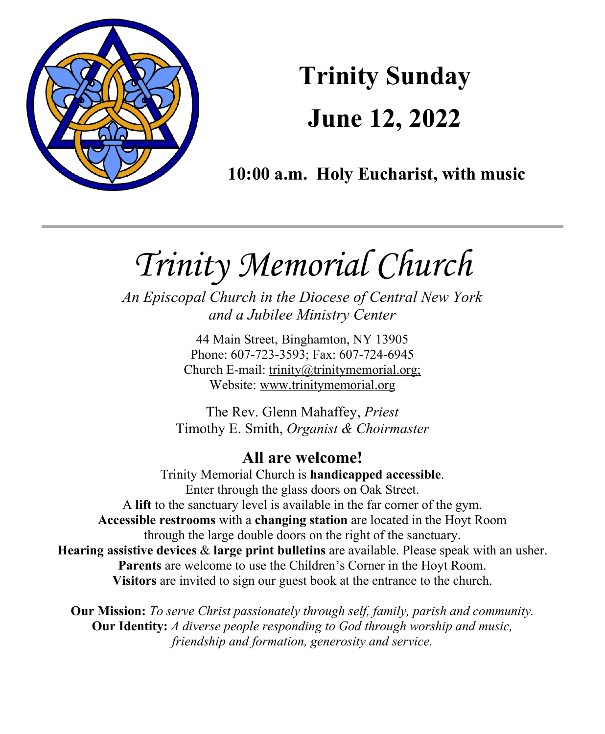

# **Trinity Sunday June 12, 2022**

**10:00 a.m. Holy Eucharist, with music**

*Trinity Memorial Church*

*An Episcopal Church in the Diocese of Central New York and a Jubilee Ministry Center*

> 44 Main Street, Binghamton, NY 13905 Phone: 607-723-3593; Fax: 607-724-6945 Church E-mail: trinity@trinitymemorial.org; Website: www.trinitymemorial.org

The Rev. Glenn Mahaffey, *Priest* Timothy E. Smith, *Organist & Choirmaster* 

**All are welcome!**

Trinity Memorial Church is **handicapped accessible**. Enter through the glass doors on Oak Street. A **lift** to the sanctuary level is available in the far corner of the gym. **Accessible restrooms** with a **changing station** are located in the Hoyt Room through the large double doors on the right of the sanctuary. **Hearing assistive devices** & **large print bulletins** are available. Please speak with an usher. **Parents** are welcome to use the Children's Corner in the Hoyt Room. **Visitors** are invited to sign our guest book at the entrance to the church.

**Our Mission:** *To serve Christ passionately through self, family, parish and community.* **Our Identity:** *A diverse people responding to God through worship and music, friendship and formation, generosity and service.*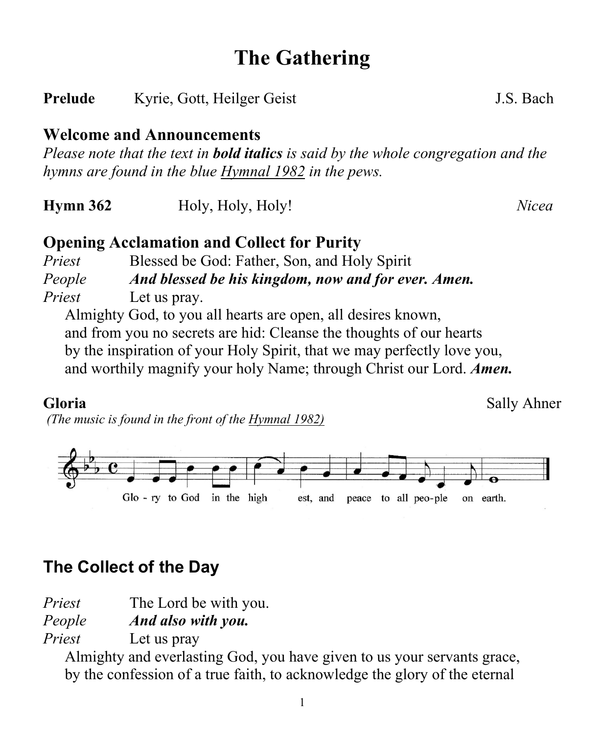# **The Gathering**

**Prelude** Kyrie, Gott, Heilger Geist J.S. Bach

#### **Welcome and Announcements**

*Please note that the text in bold italics is said by the whole congregation and the hymns are found in the blue Hymnal 1982 in the pews.*

**Hymn 362** Holy, Holy, Holy! *Nicea*

#### **Opening Acclamation and Collect for Purity**

*Priest* Blessed be God: Father, Son, and Holy Spirit *People And blessed be his kingdom, now and for ever. Amen. Priest* Let us pray.

Almighty God, to you all hearts are open, all desires known, and from you no secrets are hid: Cleanse the thoughts of our hearts by the inspiration of your Holy Spirit, that we may perfectly love you, and worthily magnify your holy Name; through Christ our Lord. *Amen.*

#### **Gloria** Sally Ahner

*(The music is found in the front of the Hymnal 1982)*



# **The Collect of the Day**

*Priest* The Lord be with you.

*People And also with you.*

*Priest* Let us pray

Almighty and everlasting God, you have given to us your servants grace, by the confession of a true faith, to acknowledge the glory of the eternal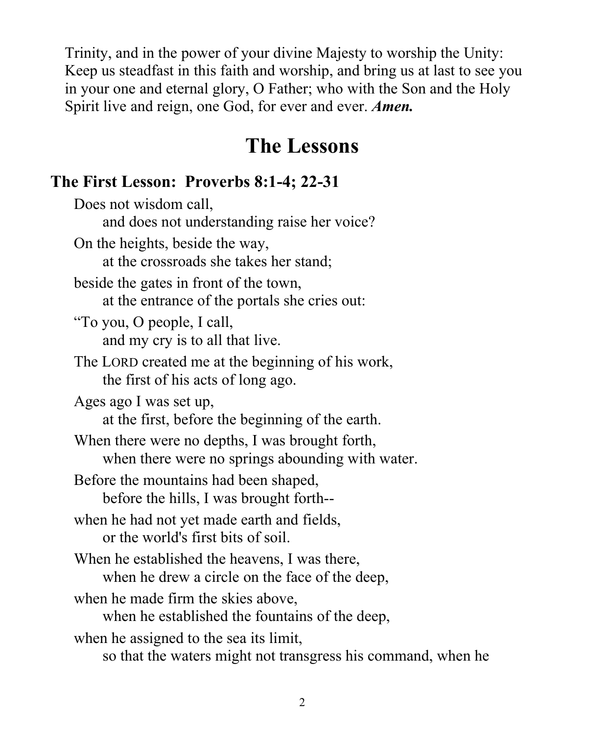Trinity, and in the power of your divine Majesty to worship the Unity: Keep us steadfast in this faith and worship, and bring us at last to see you in your one and eternal glory, O Father; who with the Son and the Holy Spirit live and reign, one God, for ever and ever. *Amen.*

# **The Lessons**

# **The First Lesson: Proverbs 8:1-4; 22-31**

Does not wisdom call, and does not understanding raise her voice? On the heights, beside the way, at the crossroads she takes her stand; beside the gates in front of the town, at the entrance of the portals she cries out: "To you, O people, I call, and my cry is to all that live. The LORD created me at the beginning of his work, the first of his acts of long ago. Ages ago I was set up, at the first, before the beginning of the earth. When there were no depths, I was brought forth, when there were no springs abounding with water. Before the mountains had been shaped, before the hills, I was brought forth- when he had not yet made earth and fields, or the world's first bits of soil. When he established the heavens, I was there, when he drew a circle on the face of the deep, when he made firm the skies above, when he established the fountains of the deep, when he assigned to the sea its limit, so that the waters might not transgress his command, when he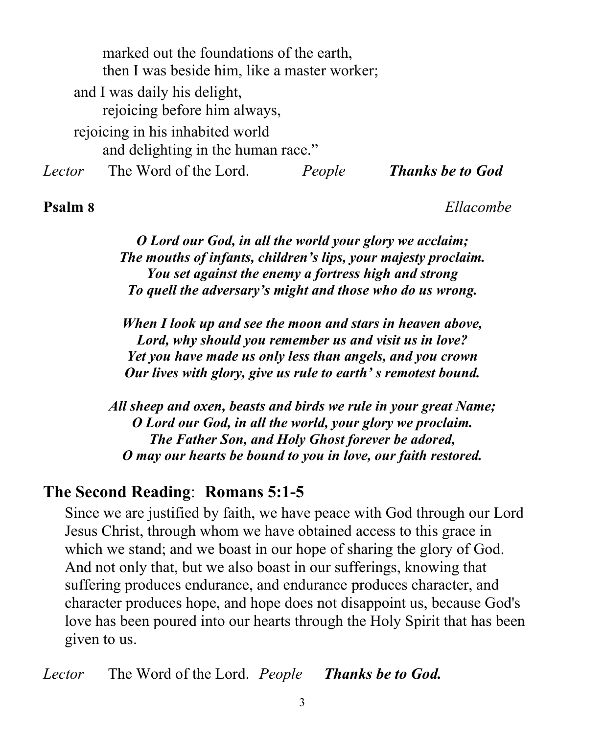marked out the foundations of the earth, then I was beside him, like a master worker; and I was daily his delight, rejoicing before him always, rejoicing in his inhabited world and delighting in the human race." *Lector* The Word of the Lord. *People Thanks be to God*

**Psalm 8** *Ellacombe*

*O Lord our God, in all the world your glory we acclaim; The mouths of infants, children's lips, your majesty proclaim. You set against the enemy a fortress high and strong To quell the adversary's might and those who do us wrong.*

*When I look up and see the moon and stars in heaven above, Lord, why should you remember us and visit us in love? Yet you have made us only less than angels, and you crown Our lives with glory, give us rule to earth' s remotest bound.*

*All sheep and oxen, beasts and birds we rule in your great Name; O Lord our God, in all the world, your glory we proclaim. The Father Son, and Holy Ghost forever be adored, O may our hearts be bound to you in love, our faith restored.*

#### **The Second Reading**: **Romans 5:1-5**

Since we are justified by faith, we have peace with God through our Lord Jesus Christ, through whom we have obtained access to this grace in which we stand; and we boast in our hope of sharing the glory of God. And not only that, but we also boast in our sufferings, knowing that suffering produces endurance, and endurance produces character, and character produces hope, and hope does not disappoint us, because God's love has been poured into our hearts through the Holy Spirit that has been given to us.

*Lector* The Word of the Lord. *People Thanks be to God.*

3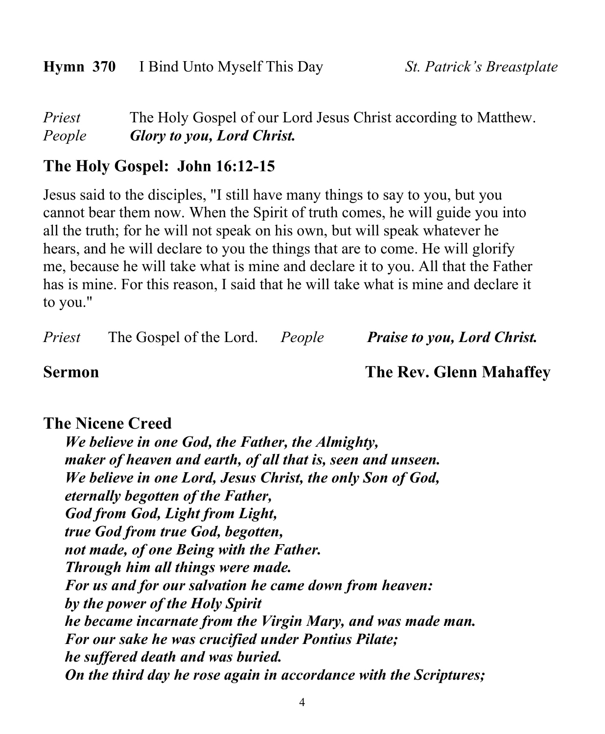*Priest* The Holy Gospel of our Lord Jesus Christ according to Matthew. *People Glory to you, Lord Christ.*

#### **The Holy Gospel: John 16:12-15**

Jesus said to the disciples, "I still have many things to say to you, but you cannot bear them now. When the Spirit of truth comes, he will guide you into all the truth; for he will not speak on his own, but will speak whatever he hears, and he will declare to you the things that are to come. He will glorify me, because he will take what is mine and declare it to you. All that the Father has is mine. For this reason, I said that he will take what is mine and declare it to you."

*Priest* The Gospel of the Lord. *People Praise to you, Lord Christ.*

**Sermon The Rev. Glenn Mahaffey**

#### **The Nicene Creed**

*We believe in one God, the Father, the Almighty, maker of heaven and earth, of all that is, seen and unseen. We believe in one Lord, Jesus Christ, the only Son of God, eternally begotten of the Father, God from God, Light from Light, true God from true God, begotten, not made, of one Being with the Father. Through him all things were made. For us and for our salvation he came down from heaven: by the power of the Holy Spirit he became incarnate from the Virgin Mary, and was made man. For our sake he was crucified under Pontius Pilate; he suffered death and was buried. On the third day he rose again in accordance with the Scriptures;*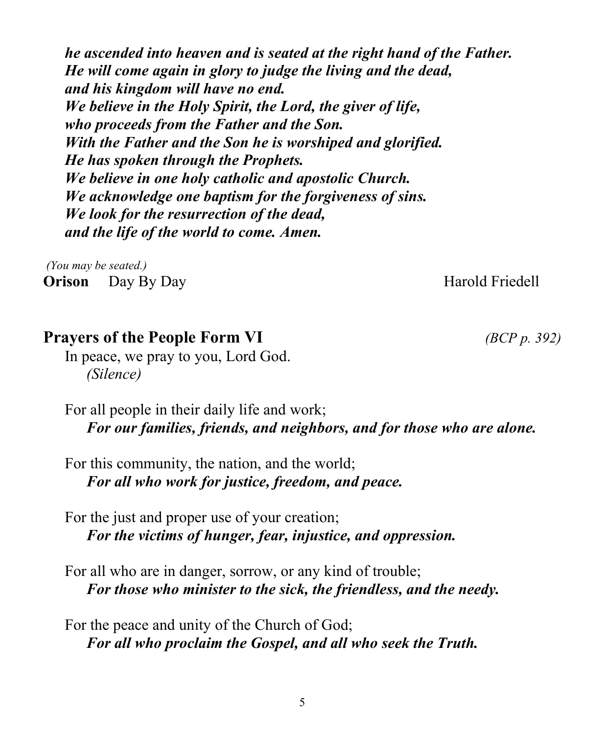*he ascended into heaven and is seated at the right hand of the Father. He will come again in glory to judge the living and the dead, and his kingdom will have no end. We believe in the Holy Spirit, the Lord, the giver of life, who proceeds from the Father and the Son. With the Father and the Son he is worshiped and glorified. He has spoken through the Prophets. We believe in one holy catholic and apostolic Church. We acknowledge one baptism for the forgiveness of sins. We look for the resurrection of the dead, and the life of the world to come. Amen.*

*(You may be seated.)* **Orison** Day By Day **Harold Friedell** 

#### **Prayers of the People Form VI** *(BCP p. 392)*

In peace, we pray to you, Lord God. *(Silence)*

For all people in their daily life and work; *For our families, friends, and neighbors, and for those who are alone.*

For this community, the nation, and the world; *For all who work for justice, freedom, and peace.*

For the just and proper use of your creation; *For the victims of hunger, fear, injustice, and oppression.*

For all who are in danger, sorrow, or any kind of trouble; *For those who minister to the sick, the friendless, and the needy.*

For the peace and unity of the Church of God; *For all who proclaim the Gospel, and all who seek the Truth.*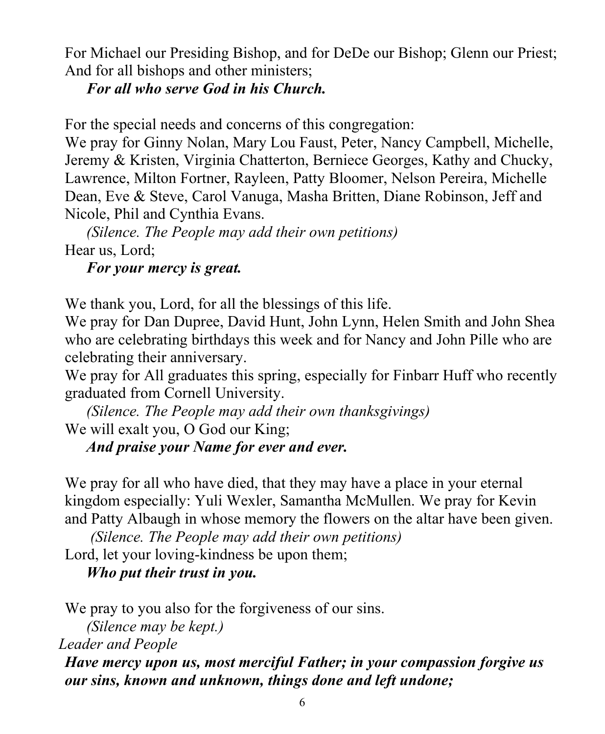For Michael our Presiding Bishop, and for DeDe our Bishop; Glenn our Priest; And for all bishops and other ministers;

*For all who serve God in his Church.*

For the special needs and concerns of this congregation:

We pray for Ginny Nolan, Mary Lou Faust, Peter, Nancy Campbell, Michelle, Jeremy & Kristen, Virginia Chatterton, Berniece Georges, Kathy and Chucky, Lawrence, Milton Fortner, Rayleen, Patty Bloomer, Nelson Pereira, Michelle Dean, Eve & Steve, Carol Vanuga, Masha Britten, Diane Robinson, Jeff and Nicole, Phil and Cynthia Evans.

*(Silence. The People may add their own petitions)* Hear us, Lord;

*For your mercy is great.*

We thank you, Lord, for all the blessings of this life.

We pray for Dan Dupree, David Hunt, John Lynn, Helen Smith and John Shea who are celebrating birthdays this week and for Nancy and John Pille who are celebrating their anniversary.

We pray for All graduates this spring, especially for Finbarr Huff who recently graduated from Cornell University.

*(Silence. The People may add their own thanksgivings)* We will exalt you, O God our King;

*And praise your Name for ever and ever.*

We pray for all who have died, that they may have a place in your eternal kingdom especially: Yuli Wexler, Samantha McMullen. We pray for Kevin and Patty Albaugh in whose memory the flowers on the altar have been given.

*(Silence. The People may add their own petitions)*

Lord, let your loving-kindness be upon them;

*Who put their trust in you.*

We pray to you also for the forgiveness of our sins.

*(Silence may be kept.)*

 *Leader and People*

*Have mercy upon us, most merciful Father; in your compassion forgive us our sins, known and unknown, things done and left undone;*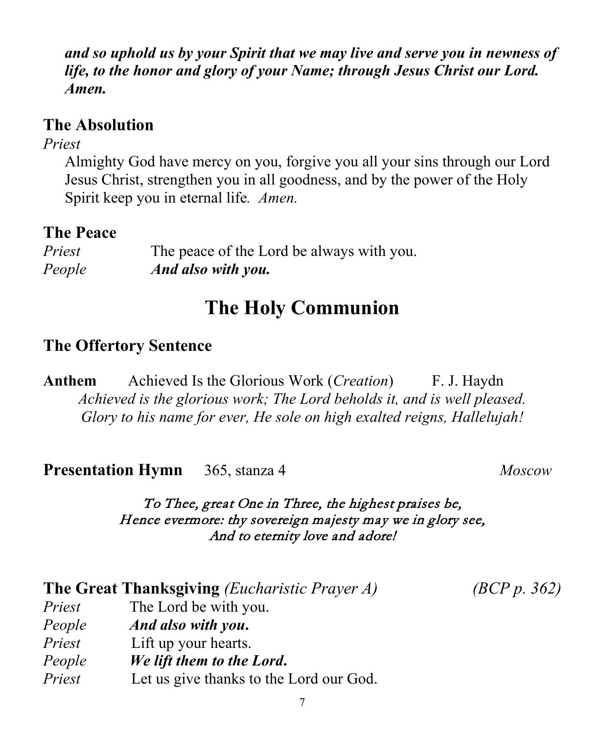*and so uphold us by your Spirit that we may live and serve you in newness of life, to the honor and glory of your Name; through Jesus Christ our Lord. Amen.*

#### **The Absolution**

*Priest*

Almighty God have mercy on you, forgive you all your sins through our Lord Jesus Christ, strengthen you in all goodness, and by the power of the Holy Spirit keep you in eternal life*. Amen.*

#### **The Peace**

*Priest* The peace of the Lord be always with you. *People And also with you.*

# **The Holy Communion**

### **The Offertory Sentence**

**Anthem** Achieved Is the Glorious Work (*Creation*) F. J. Haydn *Achieved is the glorious work; The Lord beholds it, and is well pleased. Glory to his name for ever, He sole on high exalted reigns, Hallelujah!*

**Presentation Hymn** 365, stanza 4 *Moscow*

#### To Thee, great One in Three, the highest praises be, Hence evermore: thy sovereign majesty may we in glory see, And to eternity love and adore!

|        | <b>The Great Thanksgiving (Eucharistic Prayer A)</b> | (BCP p. 362) |
|--------|------------------------------------------------------|--------------|
| Priest | The Lord be with you.                                |              |
| People | And also with you.                                   |              |
| Priest | Lift up your hearts.                                 |              |
| People | We lift them to the Lord.                            |              |
| Priest | Let us give thanks to the Lord our God.              |              |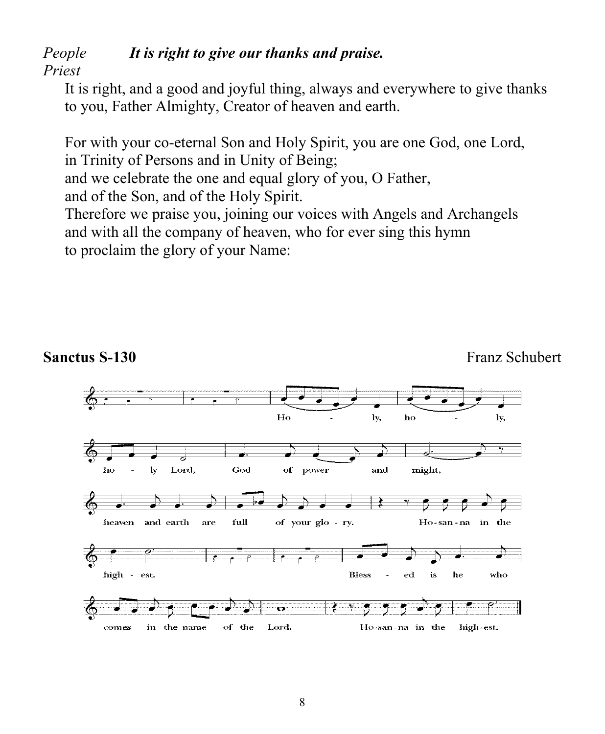# *People It is right to give our thanks and praise.*

# *Priest*

It is right, and a good and joyful thing, always and everywhere to give thanks to you, Father Almighty, Creator of heaven and earth.

For with your co-eternal Son and Holy Spirit, you are one God, one Lord, in Trinity of Persons and in Unity of Being;

and we celebrate the one and equal glory of you, O Father,

and of the Son, and of the Holy Spirit.

Therefore we praise you, joining our voices with Angels and Archangels and with all the company of heaven, who for ever sing this hymn to proclaim the glory of your Name:



#### **Sanctus S-130 Franz Schubert Franz Schubert Franz Schubert**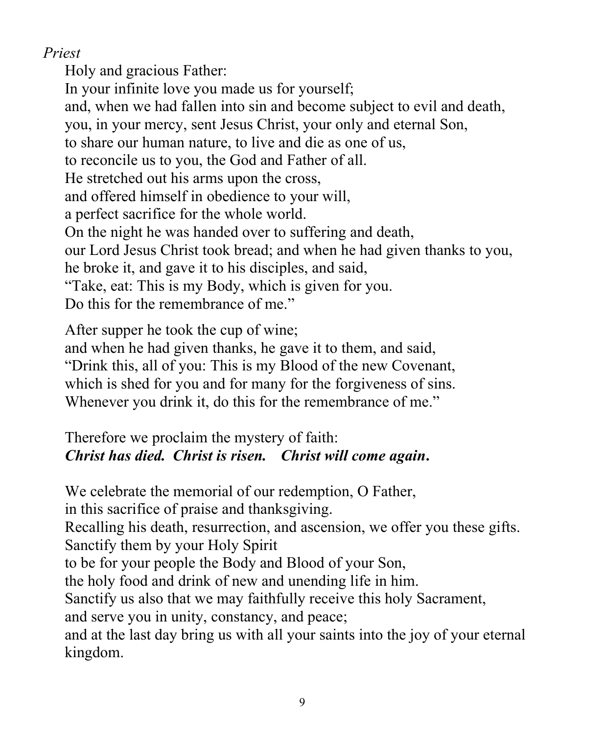*Priest*

Holy and gracious Father: In your infinite love you made us for yourself; and, when we had fallen into sin and become subject to evil and death, you, in your mercy, sent Jesus Christ, your only and eternal Son, to share our human nature, to live and die as one of us, to reconcile us to you, the God and Father of all. He stretched out his arms upon the cross, and offered himself in obedience to your will, a perfect sacrifice for the whole world. On the night he was handed over to suffering and death, our Lord Jesus Christ took bread; and when he had given thanks to you, he broke it, and gave it to his disciples, and said, "Take, eat: This is my Body, which is given for you. Do this for the remembrance of me."

After supper he took the cup of wine;

and when he had given thanks, he gave it to them, and said, "Drink this, all of you: This is my Blood of the new Covenant, which is shed for you and for many for the forgiveness of sins. Whenever you drink it, do this for the remembrance of me."

#### Therefore we proclaim the mystery of faith: *Christ has died. Christ is risen. Christ will come again***.**

We celebrate the memorial of our redemption, O Father, in this sacrifice of praise and thanksgiving. Recalling his death, resurrection, and ascension, we offer you these gifts. Sanctify them by your Holy Spirit to be for your people the Body and Blood of your Son, the holy food and drink of new and unending life in him. Sanctify us also that we may faithfully receive this holy Sacrament, and serve you in unity, constancy, and peace; and at the last day bring us with all your saints into the joy of your eternal kingdom.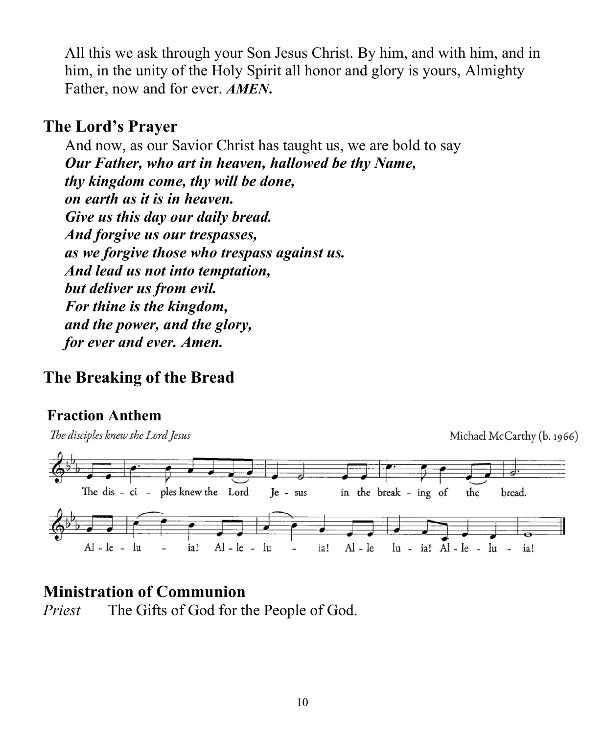All this we ask through your Son Jesus Christ. By him, and with him, and in him, in the unity of the Holy Spirit all honor and glory is yours, Almighty Father, now and for ever. *AMEN***.**

# **The Lord's Prayer**

And now, as our Savior Christ has taught us, we are bold to say *Our Father, who art in heaven, hallowed be thy Name, thy kingdom come, thy will be done, on earth as it is in heaven. Give us this day our daily bread. And forgive us our trespasses, as we forgive those who trespass against us. And lead us not into temptation, but deliver us from evil. For thine is the kingdom, and the power, and the glory, for ever and ever. Amen.*

# **The Breaking of the Bread**

#### **Fraction Anthem**



# **Ministration of Communion**

*Priest* The Gifts of God for the People of God.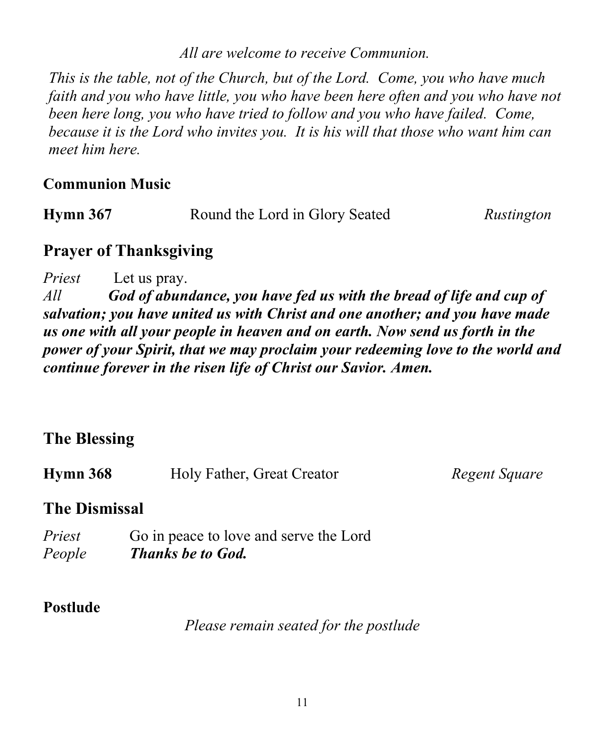*All are welcome to receive Communion.*

*This is the table, not of the Church, but of the Lord. Come, you who have much faith and you who have little, you who have been here often and you who have not been here long, you who have tried to follow and you who have failed. Come, because it is the Lord who invites you. It is his will that those who want him can meet him here.*

#### **Communion Music**

**Hymn 367** Round the Lord in Glory Seated *Rustington*

#### **Prayer of Thanksgiving**

*Priest* Let us pray. *All God of abundance, you have fed us with the bread of life and cup of salvation; you have united us with Christ and one another; and you have made us one with all your people in heaven and on earth. Now send us forth in the power of your Spirit, that we may proclaim your redeeming love to the world and continue forever in the risen life of Christ our Savior. Amen.*

# **The Blessing**

| Hymn 368             | Holy Father, Great Creator             | Regent Square |
|----------------------|----------------------------------------|---------------|
| <b>The Dismissal</b> |                                        |               |
| Priest               | Go in peace to love and serve the Lord |               |

| People | <b>Thanks be to God.</b> |  |
|--------|--------------------------|--|
|        |                          |  |

#### **Postlude**

*Please remain seated for the postlude*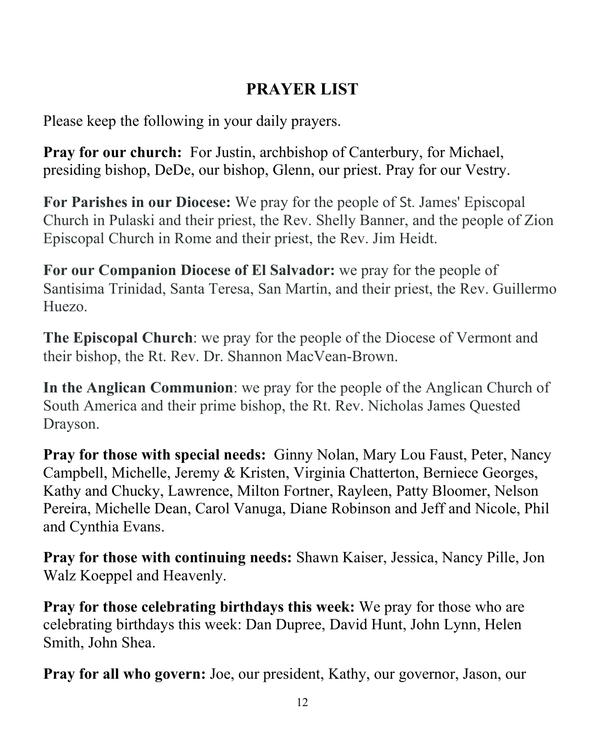# **PRAYER LIST**

Please keep the following in your daily prayers.

**Pray for our church:** For Justin, archbishop of Canterbury, for Michael, presiding bishop, DeDe, our bishop, Glenn, our priest. Pray for our Vestry.

**For Parishes in our Diocese:** We pray for the people of St. James' Episcopal Church in Pulaski and their priest, the Rev. Shelly Banner, and the people of Zion Episcopal Church in Rome and their priest, the Rev. Jim Heidt.

**For our Companion Diocese of El Salvador:** we pray for the people of Santisima Trinidad, Santa Teresa, San Martin, and their priest, the Rev. Guillermo Huezo.

**The Episcopal Church**: we pray for the people of the Diocese of Vermont and their bishop, the Rt. Rev. Dr. Shannon MacVean-Brown.

**In the Anglican Communion**: we pray for the people of the Anglican Church of South America and their prime bishop, the Rt. Rev. Nicholas James Quested Drayson.

**Pray for those with special needs:** Ginny Nolan, Mary Lou Faust, Peter, Nancy Campbell, Michelle, Jeremy & Kristen, Virginia Chatterton, Berniece Georges, Kathy and Chucky, Lawrence, Milton Fortner, Rayleen, Patty Bloomer, Nelson Pereira, Michelle Dean, Carol Vanuga, Diane Robinson and Jeff and Nicole, Phil and Cynthia Evans.

**Pray for those with continuing needs:** Shawn Kaiser, Jessica, Nancy Pille, Jon Walz Koeppel and Heavenly.

**Pray for those celebrating birthdays this week:** We pray for those who are celebrating birthdays this week: Dan Dupree, David Hunt, John Lynn, Helen Smith, John Shea.

**Pray for all who govern:** Joe, our president, Kathy, our governor, Jason, our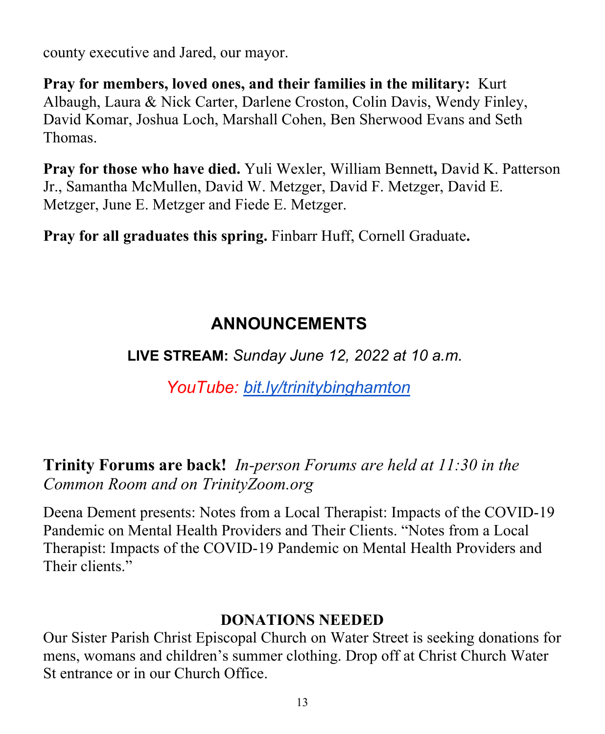county executive and Jared, our mayor.

**Pray for members, loved ones, and their families in the military:** Kurt Albaugh, Laura & Nick Carter, Darlene Croston, Colin Davis, Wendy Finley, David Komar, Joshua Loch, Marshall Cohen, Ben Sherwood Evans and Seth Thomas.

**Pray for those who have died.** Yuli Wexler, William Bennett**,** David K. Patterson Jr., Samantha McMullen, David W. Metzger, David F. Metzger, David E. Metzger, June E. Metzger and Fiede E. Metzger.

**Pray for all graduates this spring.** Finbarr Huff, Cornell Graduate**.** 

# **ANNOUNCEMENTS**

 **LIVE STREAM:** *Sunday June 12, 2022 at 10 a.m.*

 *YouTube: [bit.ly/trinitybinghamton](https://www.youtube.com/c/TrinityMemorialEpiscopalChurch)*

**Trinity Forums are back!** *In-person Forums are held at 11:30 in the Common Room and on TrinityZoom.org*

Deena Dement presents: Notes from a Local Therapist: Impacts of the COVID-19 Pandemic on Mental Health Providers and Their Clients. "Notes from a Local Therapist: Impacts of the COVID-19 Pandemic on Mental Health Providers and Their clients."

#### **DONATIONS NEEDED**

Our Sister Parish Christ Episcopal Church on Water Street is seeking donations for mens, womans and children's summer clothing. Drop off at Christ Church Water St entrance or in our Church Office.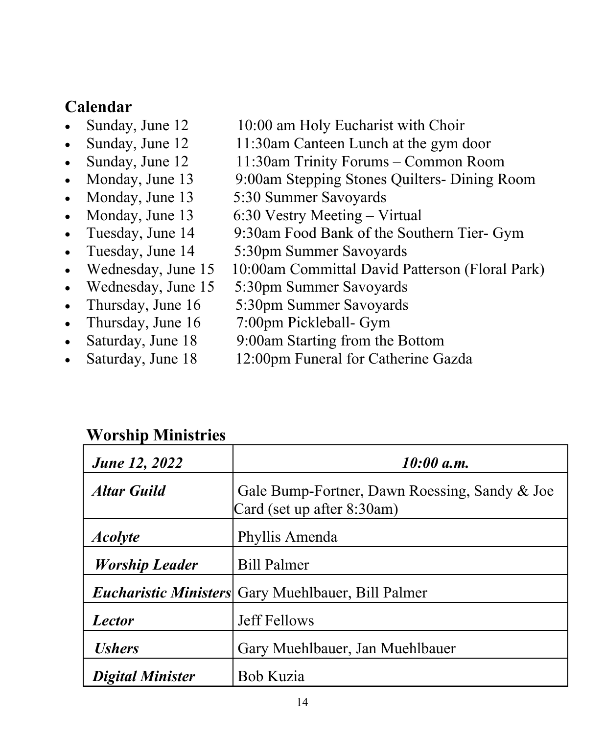# **Calendar**

- Sunday, June 12 10:00 am Holy Eucharist with Choir
- Sunday, June 12 11:30am Canteen Lunch at the gym door
- Sunday, June 12 11:30am Trinity Forums Common Room
- Monday, June 13 9:00am Stepping Stones Quilters- Dining Room
- Monday, June 13 5:30 Summer Savoyards
- Monday, June 13 6:30 Vestry Meeting Virtual
- Tuesday, June 14 9:30am Food Bank of the Southern Tier- Gym
- Tuesday, June 14 5:30pm Summer Savoyards
- Wednesday, June 15 10:00am Committal David Patterson (Floral Park)
- Wednesday, June 15 5:30pm Summer Savoyards
- Thursday, June 16 5:30pm Summer Savoyards
- Thursday, June 16 7:00pm Pickleball- Gym
- Saturday, June 18 9:00am Starting from the Bottom
- Saturday, June 18 12:00pm Funeral for Catherine Gazda

#### **Worship Ministries**

| <b>June 12, 2022</b>    | $10:00$ a.m.                                                                |
|-------------------------|-----------------------------------------------------------------------------|
| <b>Altar Guild</b>      | Gale Bump-Fortner, Dawn Roessing, Sandy & Joe<br>Card (set up after 8:30am) |
| <b>Acolyte</b>          | Phyllis Amenda                                                              |
| <b>Worship Leader</b>   | <b>Bill Palmer</b>                                                          |
|                         | <b>Eucharistic Ministers</b> Gary Muehlbauer, Bill Palmer                   |
| <b>Lector</b>           | Jeff Fellows                                                                |
| <b>Ushers</b>           | Gary Muehlbauer, Jan Muehlbauer                                             |
| <b>Digital Minister</b> | <b>Bob Kuzia</b>                                                            |